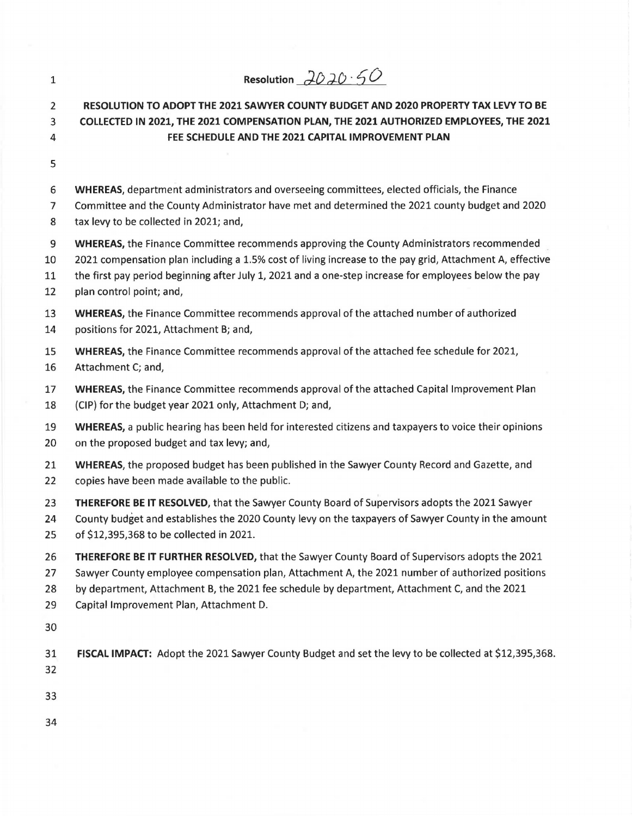| 1              | Resolution $2020.50$                                                                                     |
|----------------|----------------------------------------------------------------------------------------------------------|
| $\overline{2}$ | RESOLUTION TO ADOPT THE 2021 SAWYER COUNTY BUDGET AND 2020 PROPERTY TAX LEVY TO BE                       |
| 3              | COLLECTED IN 2021, THE 2021 COMPENSATION PLAN, THE 2021 AUTHORIZED EMPLOYEES, THE 2021                   |
| 4              | FEE SCHEDULE AND THE 2021 CAPITAL IMPROVEMENT PLAN                                                       |
| 5              |                                                                                                          |
| 6              | WHEREAS, department administrators and overseeing committees, elected officials, the Finance             |
| 7              | Committee and the County Administrator have met and determined the 2021 county budget and 2020           |
| 8              | tax levy to be collected in 2021; and,                                                                   |
| $9\,$          | <b>WHEREAS, the Finance Committee recommends approving the County Administrators recommended</b>         |
| 10             | 2021 compensation plan including a 1.5% cost of living increase to the pay grid, Attachment A, effective |
| 11             | the first pay period beginning after July 1, 2021 and a one-step increase for employees below the pay    |
| 12             | plan control point; and,                                                                                 |
| 13             | <b>WHEREAS</b> , the Finance Committee recommends approval of the attached number of authorized          |
| 14             | positions for 2021, Attachment B; and,                                                                   |
| 15             | WHEREAS, the Finance Committee recommends approval of the attached fee schedule for 2021,                |
| 16             | Attachment C; and,                                                                                       |
| 17             | WHEREAS, the Finance Committee recommends approval of the attached Capital Improvement Plan              |
| 18             | (CIP) for the budget year 2021 only, Attachment D; and,                                                  |
| 19             | WHEREAS, a public hearing has been held for interested citizens and taxpayers to voice their opinions    |
| 20             | on the proposed budget and tax levy; and,                                                                |
| 21             | WHEREAS, the proposed budget has been published in the Sawyer County Record and Gazette, and             |
| 22             | copies have been made available to the public.                                                           |
| 23             | THEREFORE BE IT RESOLVED, that the Sawyer County Board of Supervisors adopts the 2021 Sawyer             |
| 24             | County budget and establishes the 2020 County levy on the taxpayers of Sawyer County in the amount       |
| 25             | of \$12,395,368 to be collected in 2021.                                                                 |
| 26             | THEREFORE BE IT FURTHER RESOLVED, that the Sawyer County Board of Supervisors adopts the 2021            |
| 27             | Sawyer County employee compensation plan, Attachment A, the 2021 number of authorized positions          |
| 28             | by department, Attachment B, the 2021 fee schedule by department, Attachment C, and the 2021             |
| 29             | Capital Improvement Plan, Attachment D.                                                                  |
| 30             |                                                                                                          |
| 31<br>32       | FISCAL IMPACT: Adopt the 2021 Sawyer County Budget and set the levy to be collected at \$12,395,368.     |
| 33             |                                                                                                          |
| 34             |                                                                                                          |